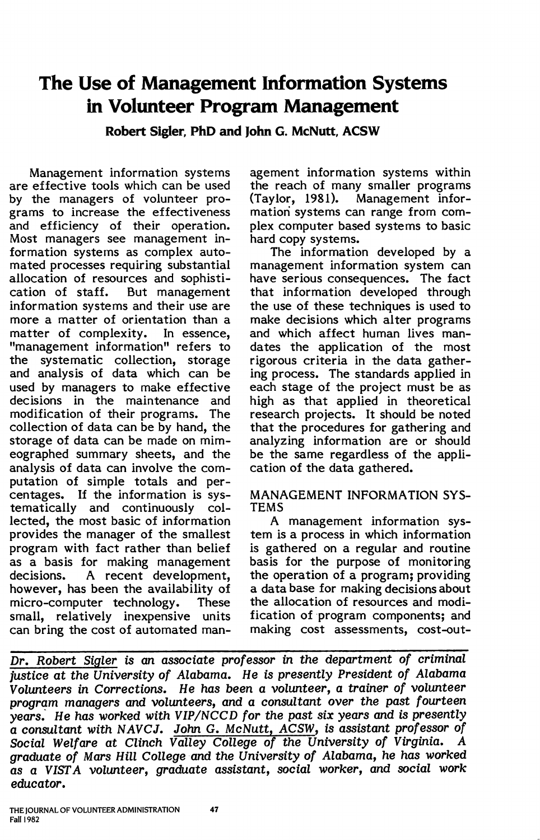# **The Use of Management Information Systems in Volunteer Program Management**

**Robert Sigler, PhD and John G. McNutt, ACSW** 

Management information systems are effective tools which can be used by the managers of volunteer programs to increase the effectiveness and efficiency of their operation. Most managers see management information systems as complex automated processes requiring substantial allocation of resources and sophisti-<br>cation of staff. But management But management information systems and their use are more a matter of orientation than a matter of complexity. In essence, "management information" refers to the systematic collection, storage and analysis of data which can be used by managers to make effective decisions in the maintenance and modification of their programs. The collection of data can be by hand, the storage of data can be made on mimeographed summary sheets, and the analysis of data can involve the computation of simple totals and percentages. If the information is systematically and continuously collected, the most basic of information provides the manager of the smallest program with fact rather than belief as a basis for making management decisions. A recent development, however, has been the availability of micro-computer technology. These small, relatively inexpensive units can bring the cost of automated management information systems within the reach of many smaller programs (Taylor, 1981). Management information systems can range from complex computer based systems to basic hard copy systems.

The information developed by a management information system can have serious consequences. The fact that information developed through the use of these techniques is used to make decisions which alter programs and which affect human lives mandates the application of the most rigorous criteria in the data gathering process. The standards applied in each stage of the project must be as high as that applied in theoretical research projects. It should be noted that the procedures for gathering and analyzing information are or should be the same regardless of the application of the data gathered.

## MANAGEMENT INFORMATION **SYS-TEMS**

A management information system is a process in which information is gathered on a regular and routine basis for the purpose of monitoring the operation of a program; providing a data base for making decisions about the allocation of resources and modification of program components; and making cost assessments, cost-out-

Dr. Robert Sigler is an associate professor in the department of criminal justice at the University of Alabama. He is presently President of Alabama Volunteers in Corrections. He has been a volunteer, a trainer of volunteer program managers and volunteers, and a consultant over the past fourteen years: He has worked with VIP/NCCD for the past six years and is presently a consultant with NAVCJ. John G. McNutt, ACSW, is assistant professor of Social Welfare at Clinch Valley College of the University of Virginia. A Social Welfare at Clinch Valley College of the University of Virginia. graduate of Mars Hill College and the University of Alabama, he has worked as a VISTA volunteer, graduate assistant, social worker, and social work educator.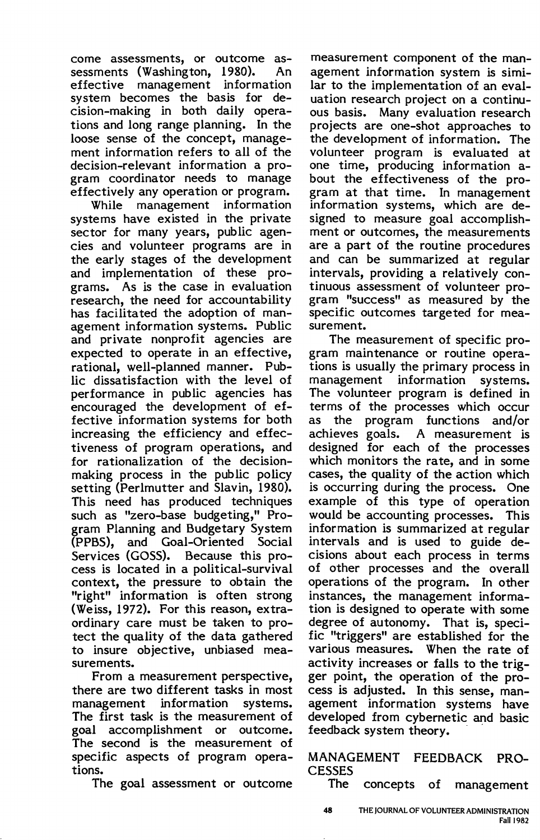come assessments, or outcome assessments (Washington, 1980). An effective management information system becomes the basis for decision-making in both daily operations and long range planning. In the loose sense of the concept, management information refers to all of the decision-relevant information a program coordinator needs to manage effectively any operation or program.

While management information systems have existed in the private sector for many years, public agencies and volunteer programs are in the early stages of the development and implementation of these programs. As is the case in evaluation research, the need for accountability has facilitated the adoption of management information systems. Public and private nonprofit agencies are expected to operate in an effective, rational, well-planned manner. Public dissatisfaction with the level of performance in public agencies has encouraged the development of effective information systems for both increasing the efficiency and effectiveness of program operations, and for rationalization of the decisionmaking process in the public policy setting (Perlmutter and Slavin, 1980). This need has produced techniques such as "zero-base budgeting," Program Planning and Budgetary System (PPBS), and Goal-Oriented Social Services (GOSS). Because this process is located in a political-survival context, the pressure to obtain the "right" information is often strong (Weiss, 1972). For this reason, extraordinary care must be taken to protect the quality of the data gathered to insure objective, unbiased measurements.

From a measurement perspective, there are two different tasks in most management information systems. The first task is the measurement of goal accomplishment or outcome. The second is the measurement of specific aspects of program operations.

The goal assessment or outcome

measurement component of the management information system is similar to the implementation of an evaluation research project on a continuous basis. Many evaluation research projects are one-shot approaches to the development of information. The volunteer program is evaluated at one time, producing information about the effectiveness of the program at that time. In management information systems, which are designed to measure goal accomplishment or outcomes, the measurements are a part of the routine procedures and can be summarized at regular intervals, providing a relatively continuous assessment of volunteer program "success" as measured by the specific outcomes targeted for measurement.

The measurement of specific program maintenance or routine operations is usually the primary process in management information systems. The volunteer program is defined in terms of the processes which occur as the program functions and/or achieves goals. A measurement is designed for each of the processes which monitors the rate, and in some cases, the quality of the action which is occurring during the process. One example of this type of operation would be accounting processes. This information is summarized at regular intervals and is used to guide decisions about each process in terms of other processes and the overall operations of the program. In other instances, the management information is designed to operate with some degree of autonomy. That is, specific "triggers" are established for the various measures. When the rate of activity increases or falls to the trigger point, the operation of the process is adjusted. In this sense, management information systems have developed from cybernetic and basic feedback system theory.

MANAGEMENT FEEDBACK PRO-**CESSES** 

The concepts of management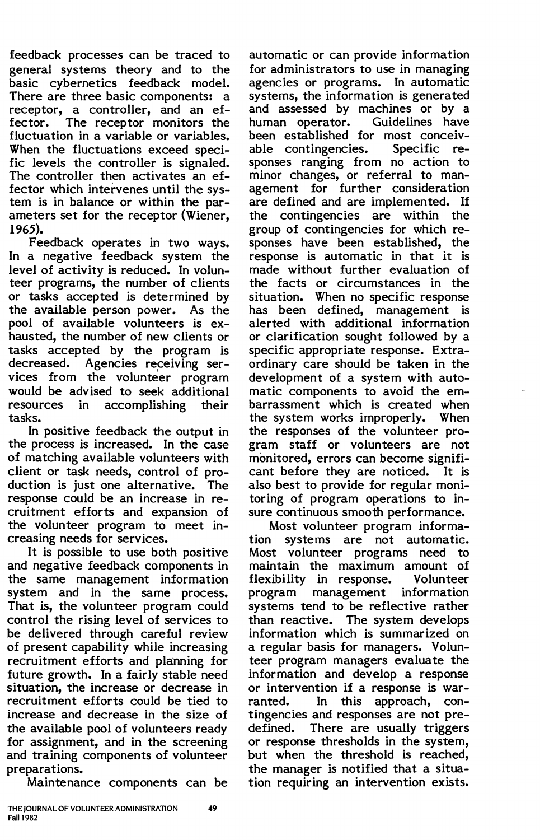feedback processes can be traced to general systems theory and to the basic cybernetics feedback model. There are three basic components: a receptor, a controller, and an effector. The receptor monitors the fluctuation in a variable or variables. When the fluctuations exceed specific levels the controller is signaled. The controller then activates an effector which intervenes until the system is in balance or within the parameters set for the receptor (Wiener, 1965).

Feedback operates in two ways. In a negative feedback system the level of activity is reduced. In volunteer programs, the number of clients or tasks accepted is determined by the available person power. As the pool of available volunteers is exhausted, the number of new clients or tasks accepted by the program is decreased. Agencies receiving services from the volunteer program would be advised to seek additional<br>resources in accomplishing their in accomplishing tasks.

In positive feedback the output in the process is increased. In the case of matching available volunteers with client or task needs, control of production is just one alternative. The response could be an increase in recruitment efforts and expansion of the volunteer program to meet increasing needs for services.

It is possible to use both positive and negative feedback components in the same management information system and in the same process. That is, the volunteer program could control the rising level of services to be delivered through careful review of present capability while increasing recruitment efforts and planning for future growth. In a fairly stable need situation, the increase or decrease in recruitment efforts could be tied to increase and decrease in the size of the available pool of volunteers ready for assignment, and in the screening and training components of volunteer preparations.

Maintenance components can be

automatic or can provide information for administrators to use in managing agencies or programs. In automatic systems, the information is generated and assessed by machines or by a human operator. Guidelines have been established for most conceiv-<br>able contingencies. Specific reable contingencies. sponses ranging from no action to minor changes, or referral to management for further consideration are defined and are implemented. If the contingencies are within the group of contingencies for which responses have been established, the response is automatic in that it is made without further evaluation of the facts or circumstances in the situation. When no specific response has been defined, management is alerted with additional information or clarification sought followed by a specific appropriate response. Extraordinary care should be taken in the development of a system with automatic components to avoid the embarrassment which is created when the system works improperly. When the responses of the volunteer program staff or volunteers are not monitored, errors can become significant before they are noticed. It is also best to provide for regular monitoring of program operations to in-

sure continuous smooth performance. Most volunteer program information systems are not automatic. Most volunteer programs need to maintain the maximum amount of flexibility in response. Volunteer program management information systems tend to be reflective rather than reactive. The system develops information which is summarized on a regular basis for managers. Volunteer program managers evaluate the information and develop a response or intervention if a response is warranted. In this approach, contingencies and responses are not predefined. There are usually triggers or response thresholds in the system, but when the threshold is reached, the manager is notified that a situation requiring an intervention exists.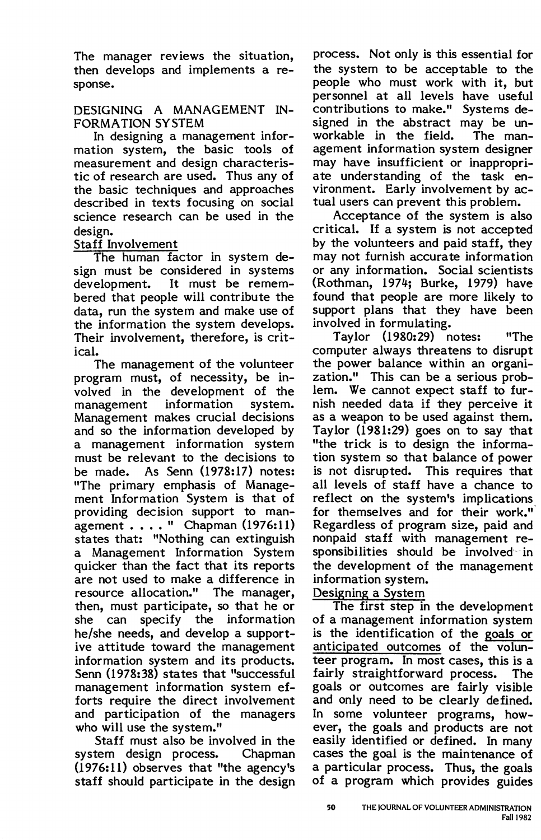The manager reviews the situation, then develops and implements a response.

## DESIGNING A MANAGEMENT IN-FORMATION SYSTEM

In designing a management information system, the basic tools of measurement and design characteristic of research are used. Thus any of the basic techniques and approaches described in texts focusing on social science research can be used in the design.

# Staff Involvement

The human factor in system design must be considered in systems<br>development. It must be remem-It must be remembered that people will contribute the data, run the system and make use of the information the system develops. Their involvement, therefore, is critical.

The management of the volunteer program must, of necessity, be involved in the development of the<br>management information system. management information Management makes crucial decisions and so the information developed by a management information system must be relevant to the decisions to be made. As Senn (1978:17) notes: "The primary emphasis of Management Information System is that of providing decision support to man $a$ gement  $\dots$  " Chapman (1976:11) states that: "Nothing can extinguish a Management Information System quicker than the fact that its reports are not used to make a difference in resource allocation." The manager, then, must participate, so that he or she can specify the information he/she needs, and develop a supportive attitude toward the management information system and its products. Senn (1978:38) states that "successful management information system efforts require the direct involvement and participation of the managers who will use the system."

Staff must also be involved in the system design process. Chapman  $(1976:11)$  observes that "the agency's staff should participate in the design

process. Not only is this essential for the system to be acceptable to the people who must work with it, but personnel at all levels have useful contributions to make." Systems designed in the abstract may be un-<br>workable in the field. The manworkable in the field. agement information system designer may have insufficient or inappropriate understanding of the task environment. Early involvement by actual users can prevent this problem.

Acceptance of the system is also critical. If a system is not accepted by the volunteers and paid staff, they may not furnish accurate information or any information. Social scientists (Rothman, 1974; Burke, 1979) have found that people are more likely to support plans that they have been involved in formulating.

Taylor (1980:29) notes: "The computer always threatens to disrupt the power balance within an organization." This can be a serious problem. We cannot expect staff to furnish needed data if they perceive it as a weapon to be used against them. Taylor (1981:29) goes on to say that "the trick is to design the information system so that balance of power is not disrupted. This requires that all levels of staff have a chance to reflect on the system's implications for themselves and for their work." Regardless of program size, paid and nonpaid staff with management responsibilities should be involved in the development of the management information system.

# Designing a System

The first step in the development of a management information system is the identification of the goals or anticipated outcomes of the volunteer program. In most cases, this is a fairly straightforward process. The goals or outcomes are fairly visible and only need to be clearly defined. In some volunteer programs, however, the goals and products are not easily identified or defined. In many cases the goal is the maintenance of a particular process. Thus, the goals of a program which provides guides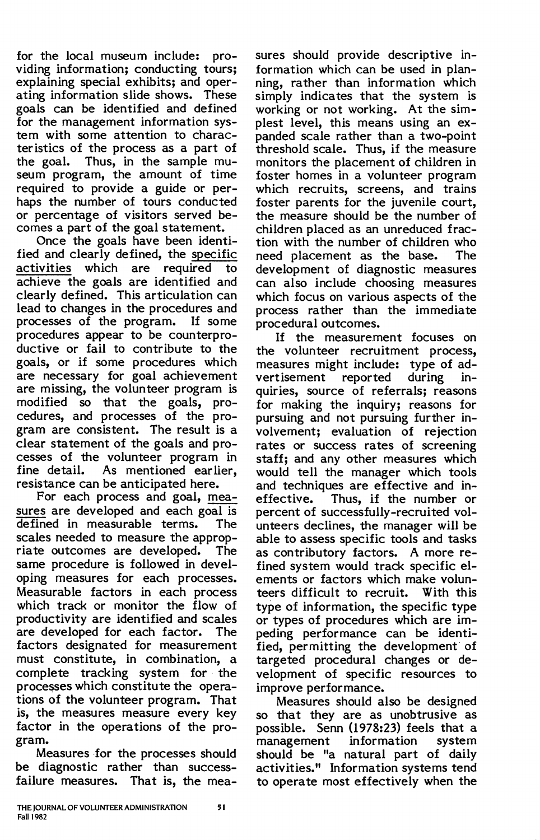for the local museum include: providing information; conducting tours; explaining special exhibits; and operating information slide shows. These goals can be identified and defined for the management information system with some attention to characteristics of the process as a part of the goal. Thus, in the sample museum program, the amount of time required to provide a guide or perhaps the number of tours conducted or percentage of visitors served becomes a part of the goal statement.

Once the goals have been identified and clearly defined, the specific activities which are required to achieve the goals are identified and clearly defined. This articulation can lead to changes in the procedures and processes of the program. If some procedures appear to be counterproductive or fail to contribute to the goals, or if some procedures which are necessary for goal achievement are missing, the volunteer program is modified so that the goals, procedures, and processes of the program are consistent. The result is a clear statement of the goals and processes of the volunteer program in fine detail. As mentioned ear lier, resistance can be anticipated here.

For each process and goal, measures are developed and each goal is defined in measurable terms. The scales needed to measure the appropriate outcomes are developed. The same procedure is followed in developing measures for each processes. Measurable factors in each process which track or monitor the flow of productivity are identified and scales are developed for each factor. The factors designated for measurement must constitute, in combination, a complete tracking system for the processes which constitute the operations of the volunteer program. That is, the measures measure every key factor in the operations of the program.

Measures for the processes should be diagnostic rather than successfailure measures. That is, the mea-

sures should provide descriptive information which can be used in planning, rather than information which simply indicates that the system is working or not working. At the simplest level, this means using an expanded scale rather than a two-point threshold scale. Thus, if the measure monitors the placement of children in foster homes in a volunteer program which recruits, screens, and trains foster parents for the juvenile court, the measure should be the number of children placed as an unreduced fraction with the number of children who<br>need placement as the base. The need placement as the base. development of diagnostic measures can also include choosing measures which focus on various aspects of the process rather than the immediate procedural outcomes.

If the measurement focuses on the volunteer recruitment process, measures might include: type of advertisement reported during inquiries, source of referrals; reasons for making the inquiry; reasons for pursuing and not pursuing further involvement; evaluation of rejection rates or success rates of screening staff; and any other measures which would tell the manager which tools and techniques are effective and in-<br>effective. Thus, if the number or Thus, if the number or percent of successfully-recruited volunteers declines, the manager will be able to assess specific tools and tasks as contributory factors. A more refined system would track specific elements or factors which make volunteers difficult to recruit. With this type of information, the specific type or types of procedures which are impeding performance can be identified, permitting the development of targeted procedural changes or development of specific resources to improve performance.

Measures should also be designed so that they are as unobtrusive as possible. Senn (1978:23) feels that a management information system should be "a natural part of daily activities." Information systems tend to operate most effectively when the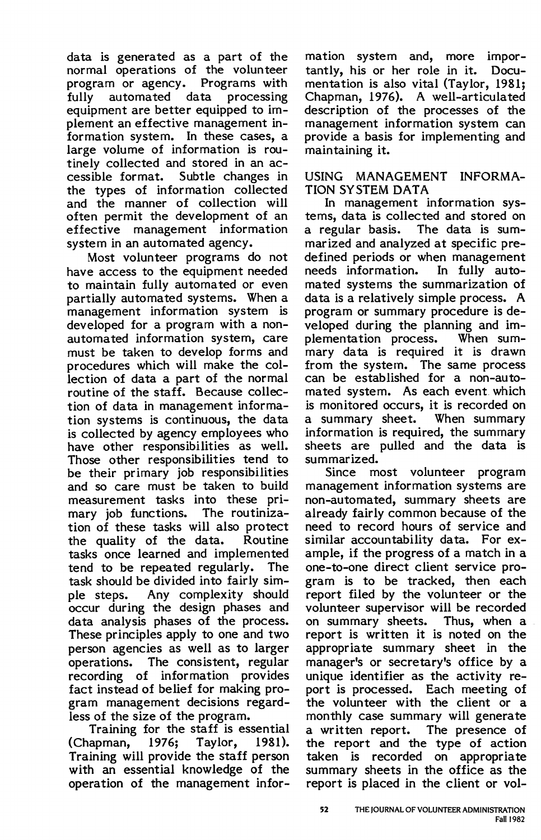data is generated as a part of the normal operations of the volunteer program or agency. Programs with<br>fully automated data processing fully automated data equipment are better equipped to implement an effective management information system. In these cases, a large volume of information is routinely collected and stored in an accessible format. Subtle changes in the types of information collected and the manner of collection will often permit the development of an effective management information system in an automated agency.

Most volunteer programs do not have access to the equipment needed to maintain fully automated or even partially automated systems. When a management information system is developed for a program with a nonautomated information system, care must be taken to develop forms and procedures which will make the collection of data a part of the normal routine of the staff. Because collection of data in management information systems is continuous, the data is collected by agency employees who have other responsibilities as well. Those other responsibilities tend to be their primary job responsibilities and so care must be taken to build measurement tasks into these primary job functions. The routinization of these tasks will also protect the quality of the data. Routine tasks once learned and implemented tend to be repeated regularly. The task should be divided into fairly simple steps. Any complexity should occur during the design phases and data analysis phases of the process. These principles apply to one and two person agencies as well as to larger operations. The consistent, regular recording of information provides fact instead of belief for making program management decisions regardless of the size of the program.

Training for the staff is essential (Chapman, 1976; Taylor, 1981). Training will provide the staff person with an essential knowledge of the operation of the management infor-

mation system and, more importantly, his or her role in it. Documentation is also vital (Taylor, 1981; Chapman, 1976). A well-articulated description of the processes of the management information system can provide a basis for implementing and maintaining it.

#### USING MANAGEMENT INFORMA-**TION SYSTEM DATA**

In management information systems, data is collected and stored on a regular basis. The data is summarized and analyzed at specific predefined periods or when management needs information. In fully automated systems the summarization of data is a relatively simple process. A program or summary procedure is developed during the planning and implementation process. When summary data is required it is drawn from the system. The same process can be established for a non-automated system. As each event. which is monitored occurs, it is recorded on a summary sheet. When summary information is required, the summary sheets are pulled and the data is summarized.

Since most volunteer program management information systems are non-automated, summary sheets are already fairly common because of the need to record hours of service and similar accountability data. For example, if the progress of a match in a one-to-one direct client service program is to be tracked, then each report filed by the volunteer or the volunteer supervisor will be recorded on summary sheets. Thus, when a report is written it is noted on the appropriate summary sheet in the manager's or secretary's office by a unique identifier as the activity report is processed. Each meeting of the volunteer with the client or a monthly case summary will generate a written report. The presence of the report and the type of action taken is recorded on appropriate summary sheets in the office as the report is placed in the client or vol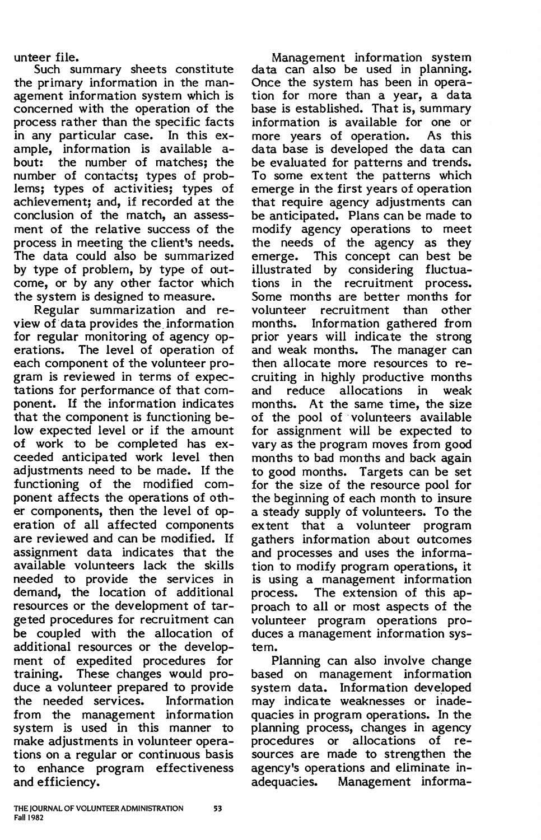unteer file.

Such summary sheets constitute the primary information in the management information system which is concerned with the operation of the process rather than the specific facts in any particular case. In this example, information is available about: the number of matches; the number of contacts; types of problems; types of activities; types of achievement; and, if recorded at the conclusion of the match, an assessment of the relative success of the process in meeting the client's needs. The data could also be summarized by type of problem, by type of outcome, or by any other factor which the system is designed to measure.

Regular summarization and review of data provides the information for regular monitoring of agency operations. The level of operation of each component of the volunteer program is reviewed in terms of expectations for performance of that component. If the information indicates that the component is functioning below expected level or if the amount of work to be completed has exceeded anticipated work level then adjustments need to be made. If the functioning of the modified component affects the operations of other components, then the level of operation of all affected components are reviewed and can be modified. If assignment data indicates that the available volunteers lack the skills needed to provide the services in demand, the location of additional resources or the development of targeted procedures for recruitment can be coupled with the allocation of additional resources or the development of expedited procedures for training. These changes would produce a volunteer prepared to provide the needed services. Information from the management information system is used in this manner to make adjustments in volunteer operations on a regular or continuous basis to enhance program effectiveness and efficiency.

Management information system data can also be used in planning. Once the system has been in operation for more than a year, a data base is established. That is, summary information is available for one or more years of operation. data base is developed the data can be evaluated for patterns and trends. To some extent the patterns which emerge in the first years of operation that require agency adjustments can be anticipated. Plans can be made to modify agency operations to meet the needs of the agency as they emerge. This concept can best be illustrated by considering fluctuations in the recruitment process. Some months are better months for volunteer recruitment than other months. Information gathered from prior years will indicate the strong and weak months. The manager can then allocate more resources to recruiting in highly productive months and reduce allocations in weak months. At the same time, the size of the pool of volunteers available for assignment will be expected to vary as the program moves from good months to bad months and back again to good months. Targets can be set for the size of the resource pool for the beginning of each month to insure a steady supply of volunteers. To the extent that a volunteer program gathers information about 0utcomes and processes and uses the information to modify program operations, it is using a management information process. The extension of this approach to all or most aspects of the volunteer program operations produces a management information system.

Planning can also involve change based on management information system data. Information developed may indicate weaknesses or inadequacies in program operations. In the planning process, changes in agency procedures or allocations of resources are made to strengthen the agency's operations and eliminate inadequacies. Management informa-